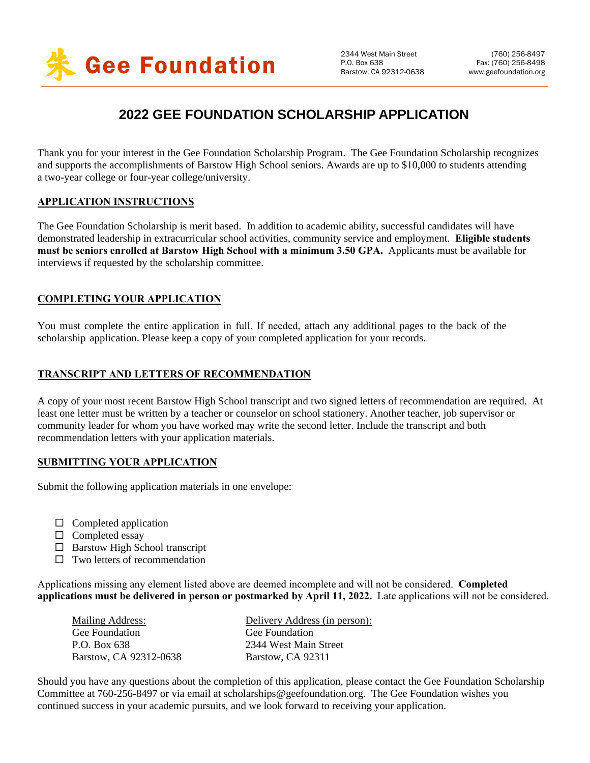

# **2022 GEE FOUNDATION SCHOLARSHIP APPLICATION**

Thank you for your interest in the Gee Foundation Scholarship Program. The Gee Foundation Scholarship recognizes and supports the accomplishments of Barstow High School seniors. Awards are up to \$10,000 to students attending a two-year college or four-year college/university.

#### **APPLICATION INSTRUCTIONS**

The Gee Foundation Scholarship is merit based. In addition to academic ability, successful candidates will have demonstrated leadership in extracurricular school activities, community service and employment. **Eligible students must be seniors enrolled at Barstow High School with a minimum 3.50 GPA.** Applicants must be available for interviews if requested by the scholarship committee.

#### **COMPLETING YOUR APPLICATION**

You must complete the entire application in full. If needed, attach any additional pages to the back of the scholarship application. Please keep a copy of your completed application for your records.

#### **TRANSCRIPT AND LETTERS OF RECOMMENDATION**

A copy of your most recent Barstow High School transcript and two signed letters of recommendation are required. At least one letter must be written by a teacher or counselor on school stationery. Another teacher, job supervisor or community leader for whom you have worked may write the second letter. Include the transcript and both recommendation letters with your application materials.

#### **SUBMITTING YOUR APPLICATION**

Submit the following application materials in one envelope:

- $\Box$  Completed application
- $\square$  Completed essay
- $\Box$  Barstow High School transcript
- $\Box$  Two letters of recommendation

Applications missing any element listed above are deemed incomplete and will not be considered. **Completed applications must be delivered in person or postmarked by April 11, 2022.** Late applications will not be considered.

| Mailing Address:       | Delivery Address (in person): |
|------------------------|-------------------------------|
| Gee Foundation         | Gee Foundation                |
| P.O. Box 638           | 2344 West Main Street         |
| Barstow. CA 92312-0638 | Barstow, CA 92311             |

Should you have any questions about the completion of this application, please contact the Gee Foundation Scholarship Committee at 760-256-8497 or via email at [scholarships@geefoundation.org.](mailto:scholarships@geefoundation.org) The Gee Foundation wishes you continued success in your academic pursuits, and we look forward to receiving your application.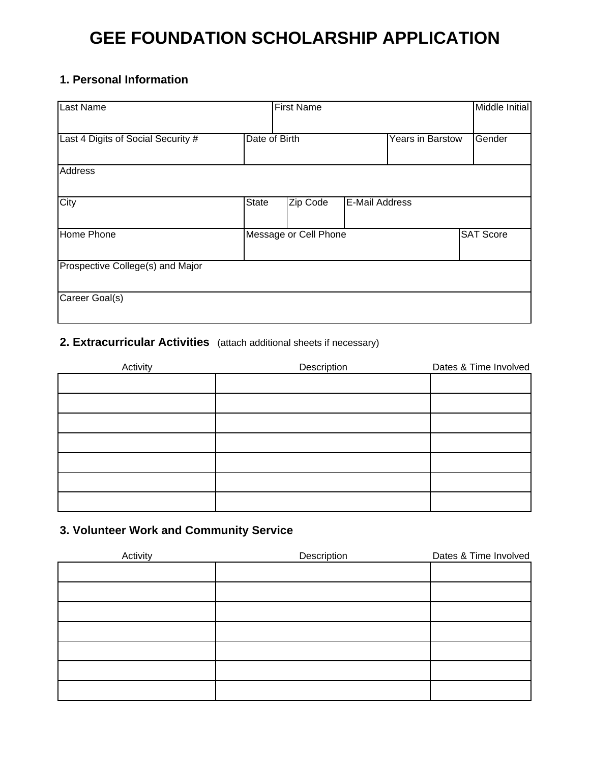# **GEE FOUNDATION SCHOLARSHIP APPLICATION**

# **1. Personal Information**

| <b>Last Name</b>                   |               | <b>First Name</b>     |                |                  | Middle Initial   |
|------------------------------------|---------------|-----------------------|----------------|------------------|------------------|
| Last 4 Digits of Social Security # | Date of Birth |                       |                | Years in Barstow | Gender           |
| <b>Address</b>                     |               |                       |                |                  |                  |
| City                               | State         | Zip Code              | E-Mail Address |                  |                  |
| Home Phone                         |               | Message or Cell Phone |                |                  | <b>SAT Score</b> |
| Prospective College(s) and Major   |               |                       |                |                  |                  |
| Career Goal(s)                     |               |                       |                |                  |                  |

# **2. Extracurricular Activities** (attach additional sheets if necessary)

| Activity | Description | Dates & Time Involved |
|----------|-------------|-----------------------|
|          |             |                       |
|          |             |                       |
|          |             |                       |
|          |             |                       |
|          |             |                       |
|          |             |                       |
|          |             |                       |
|          |             |                       |

# **3. Volunteer Work and Community Service**

| Activity | Description | Dates & Time Involved |
|----------|-------------|-----------------------|
|          |             |                       |
|          |             |                       |
|          |             |                       |
|          |             |                       |
|          |             |                       |
|          |             |                       |
|          |             |                       |
|          |             |                       |